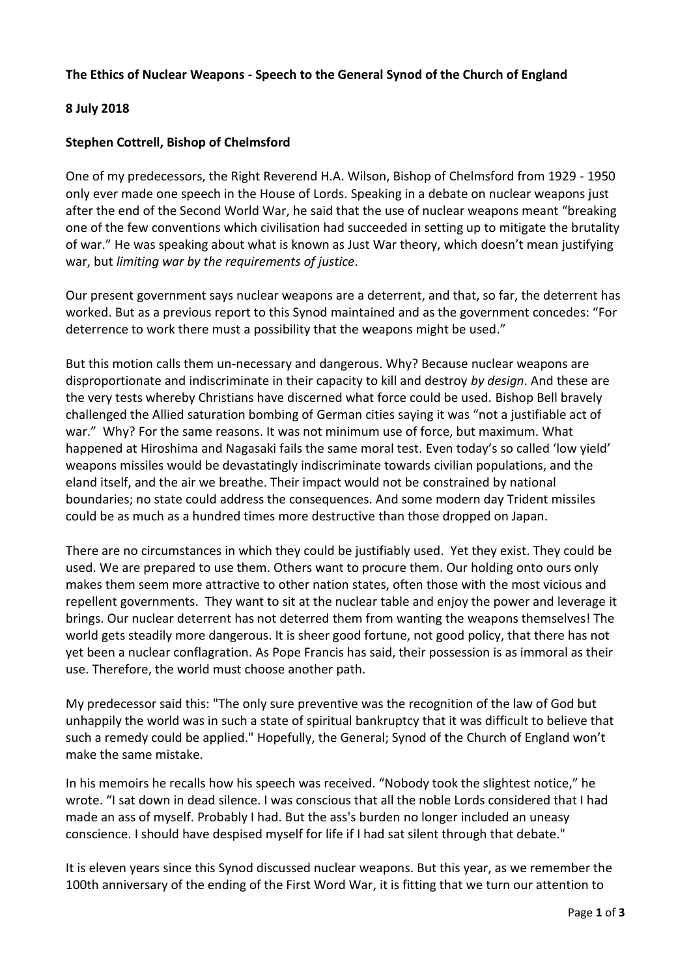## **The Ethics of Nuclear Weapons - Speech to the General Synod of the Church of England**

## **8 July 2018**

## **Stephen Cottrell, Bishop of Chelmsford**

One of my predecessors, the Right Reverend H.A. Wilson, Bishop of Chelmsford from 1929 - 1950 only ever made one speech in the House of Lords. Speaking in a debate on nuclear weapons just after the end of the Second World War, he said that the use of nuclear weapons meant "breaking one of the few conventions which civilisation had succeeded in setting up to mitigate the brutality of war." He was speaking about what is known as Just War theory, which doesn't mean justifying war, but *limiting war by the requirements of justice*.

Our present government says nuclear weapons are a deterrent, and that, so far, the deterrent has worked. But as a previous report to this Synod maintained and as the government concedes: "For deterrence to work there must a possibility that the weapons might be used."

But this motion calls them un-necessary and dangerous. Why? Because nuclear weapons are disproportionate and indiscriminate in their capacity to kill and destroy *by design*. And these are the very tests whereby Christians have discerned what force could be used. Bishop Bell bravely challenged the Allied saturation bombing of German cities saying it was "not a justifiable act of war." Why? For the same reasons. It was not minimum use of force, but maximum. What happened at Hiroshima and Nagasaki fails the same moral test. Even today's so called 'low yield' weapons missiles would be devastatingly indiscriminate towards civilian populations, and the eland itself, and the air we breathe. Their impact would not be constrained by national boundaries; no state could address the consequences. And some modern day Trident missiles could be as much as a hundred times more destructive than those dropped on Japan.

There are no circumstances in which they could be justifiably used. Yet they exist. They could be used. We are prepared to use them. Others want to procure them. Our holding onto ours only makes them seem more attractive to other nation states, often those with the most vicious and repellent governments. They want to sit at the nuclear table and enjoy the power and leverage it brings. Our nuclear deterrent has not deterred them from wanting the weapons themselves! The world gets steadily more dangerous. It is sheer good fortune, not good policy, that there has not yet been a nuclear conflagration. As Pope Francis has said, their possession is as immoral as their use. Therefore, the world must choose another path.

My predecessor said this: "The only sure preventive was the recognition of the law of God but unhappily the world was in such a state of spiritual bankruptcy that it was difficult to believe that such a remedy could be applied." Hopefully, the General; Synod of the Church of England won't make the same mistake.

In his memoirs he recalls how his speech was received. "Nobody took the slightest notice," he wrote. "I sat down in dead silence. I was conscious that all the noble Lords considered that I had made an ass of myself. Probably I had. But the ass's burden no longer included an uneasy conscience. I should have despised myself for life if I had sat silent through that debate."

It is eleven years since this Synod discussed nuclear weapons. But this year, as we remember the 100th anniversary of the ending of the First Word War, it is fitting that we turn our attention to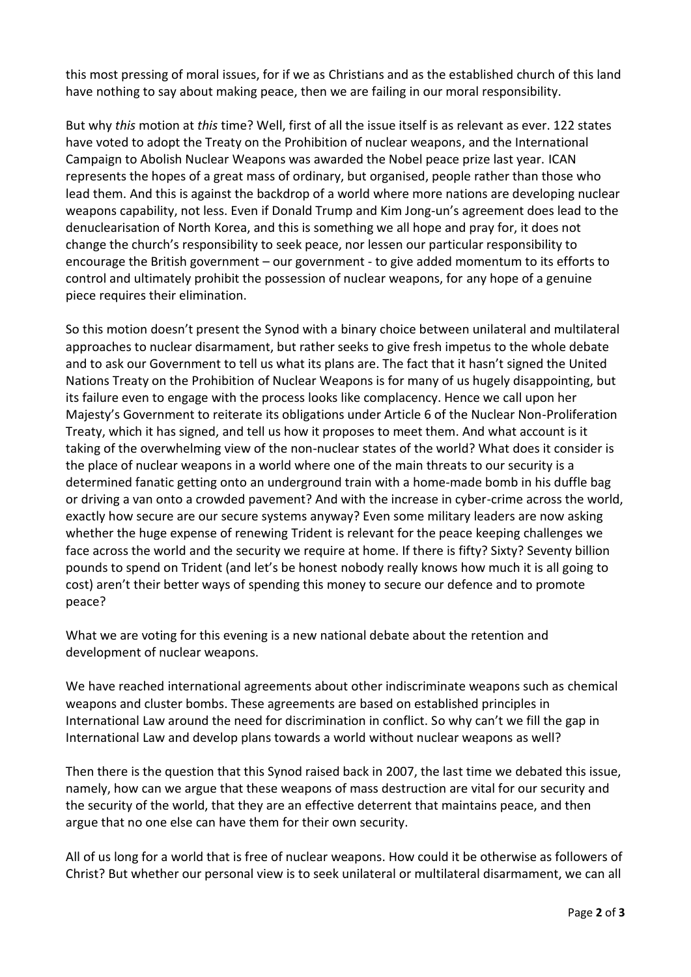this most pressing of moral issues, for if we as Christians and as the established church of this land have nothing to say about making peace, then we are failing in our moral responsibility.

But why *this* motion at *this* time? Well, first of all the issue itself is as relevant as ever. 122 states have voted to adopt the Treaty on the Prohibition of nuclear weapons, and the International Campaign to Abolish Nuclear Weapons was awarded the Nobel peace prize last year. ICAN represents the hopes of a great mass of ordinary, but organised, people rather than those who lead them. And this is against the backdrop of a world where more nations are developing nuclear weapons capability, not less. Even if Donald Trump and Kim Jong-un's agreement does lead to the denuclearisation of North Korea, and this is something we all hope and pray for, it does not change the church's responsibility to seek peace, nor lessen our particular responsibility to encourage the British government – our government - to give added momentum to its efforts to control and ultimately prohibit the possession of nuclear weapons, for any hope of a genuine piece requires their elimination.

So this motion doesn't present the Synod with a binary choice between unilateral and multilateral approaches to nuclear disarmament, but rather seeks to give fresh impetus to the whole debate and to ask our Government to tell us what its plans are. The fact that it hasn't signed the United Nations Treaty on the Prohibition of Nuclear Weapons is for many of us hugely disappointing, but its failure even to engage with the process looks like complacency. Hence we call upon her Majesty's Government to reiterate its obligations under Article 6 of the Nuclear Non-Proliferation Treaty, which it has signed, and tell us how it proposes to meet them. And what account is it taking of the overwhelming view of the non-nuclear states of the world? What does it consider is the place of nuclear weapons in a world where one of the main threats to our security is a determined fanatic getting onto an underground train with a home-made bomb in his duffle bag or driving a van onto a crowded pavement? And with the increase in cyber-crime across the world, exactly how secure are our secure systems anyway? Even some military leaders are now asking whether the huge expense of renewing Trident is relevant for the peace keeping challenges we face across the world and the security we require at home. If there is fifty? Sixty? Seventy billion pounds to spend on Trident (and let's be honest nobody really knows how much it is all going to cost) aren't their better ways of spending this money to secure our defence and to promote peace?

What we are voting for this evening is a new national debate about the retention and development of nuclear weapons.

We have reached international agreements about other indiscriminate weapons such as chemical weapons and cluster bombs. These agreements are based on established principles in International Law around the need for discrimination in conflict. So why can't we fill the gap in International Law and develop plans towards a world without nuclear weapons as well?

Then there is the question that this Synod raised back in 2007, the last time we debated this issue, namely, how can we argue that these weapons of mass destruction are vital for our security and the security of the world, that they are an effective deterrent that maintains peace, and then argue that no one else can have them for their own security.

All of us long for a world that is free of nuclear weapons. How could it be otherwise as followers of Christ? But whether our personal view is to seek unilateral or multilateral disarmament, we can all